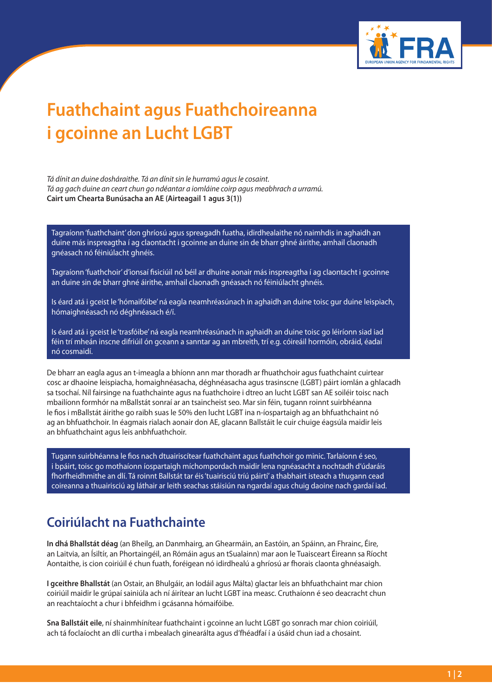

## **Fuathchaint agus Fuathchoireanna i gcoinne an Lucht LGBT**

*Tá dínit an duine dosháraithe. Tá an dínit sin le hurramú agus le cosaint. Tá ag gach duine an ceart chun go ndéantar a iomláine coirp agus meabhrach a urramú.* **Cairt um Chearta Bunúsacha an AE (Airteagail 1 agus 3(1))**

Tagraíonn 'fuathchaint' don ghríosú agus spreagadh fuatha, idirdhealaithe nó naimhdis in aghaidh an duine más inspreagtha í ag claontacht i gcoinne an duine sin de bharr ghné áirithe, amhail claonadh gnéasach nó féiniúlacht ghnéis.

Tagraíonn 'fuathchoir' d'ionsaí fisiciúil nó béil ar dhuine aonair más inspreagtha í ag claontacht i gcoinne an duine sin de bharr ghné áirithe, amhail claonadh gnéasach nó féiniúlacht ghnéis.

Is éard atá i gceist le 'hómaifóibe' ná eagla neamhréasúnach in aghaidh an duine toisc gur duine leispiach, hómaighnéasach nó déghnéasach é/í.

Is éard atá i gceist le 'trasfóibe' ná eagla neamhréasúnach in aghaidh an duine toisc go léiríonn siad iad féin trí mheán inscne difriúil ón gceann a sanntar ag an mbreith, trí e.g. cóireáil hormóin, obráid, éadaí nó cosmaidí.

De bharr an eagla agus an t-imeagla a bhíonn ann mar thoradh ar fhuathchoir agus fuathchaint cuirtear cosc ar dhaoine leispiacha, homaighnéasacha, déghnéasacha agus trasinscne (LGBT) páirt iomlán a ghlacadh sa tsochaí. Níl fairsinge na fuathchainte agus na fuathchoire i dtreo an lucht LGBT san AE soiléir toisc nach mbailíonn formhór na mBallstát sonraí ar an tsaincheist seo. Mar sin féin, tugann roinnt suirbhéanna le fios i mBallstát áirithe go raibh suas le 50% den lucht LGBT ina n-íospartaigh ag an bhfuathchaint nó ag an bhfuathchoir. In éagmais rialach aonair don AE, glacann Ballstáit le cuir chuige éagsúla maidir leis an bhfuathchaint agus leis anbhfuathchoir.

Tugann suirbhéanna le fios nach dtuairiscítear fuathchaint agus fuathchoir go minic. Tarlaíonn é seo, i bpáirt, toisc go mothaíonn íospartaigh míchompordach maidir lena ngnéasacht a nochtadh d'údaráis fhorfheidhmithe an dlí. Tá roinnt Ballstát tar éis 'tuairisciú tríú páirtí' a thabhairt isteach a thugann cead coireanna a thuairisciú ag láthair ar leith seachas stáisiún na ngardaí agus chuig daoine nach gardaí iad.

## **Coiriúlacht na Fuathchainte**

**In dhá Bhallstát déag** (an Bheilg, an Danmhairg, an Ghearmáin, an Eastóin, an Spáinn, an Fhrainc, Éire, an Laitvia, an Ísiltír, an Phortaingéil, an Rómáin agus an tSualainn) mar aon le Tuaisceart Éireann sa Ríocht Aontaithe, is cion coiriúil é chun fuath, foréigean nó idirdhealú a ghríosú ar fhorais claonta ghnéasaigh.

**I gceithre Bhallstát** (an Ostair, an Bhulgáir, an Iodáil agus Málta) glactar leis an bhfuathchaint mar chion coiriúil maidir le grúpaí sainiúla ach ní áirítear an lucht LGBT ina measc. Cruthaíonn é seo deacracht chun an reachtaíocht a chur i bhfeidhm i gcásanna hómaifóibe.

**Sna Ballstáit eile**, ní shainmhínítear fuathchaint i gcoinne an lucht LGBT go sonrach mar chion coiriúil, ach tá foclaíocht an dlí curtha i mbealach ginearálta agus d'fhéadfaí í a úsáid chun iad a chosaint.